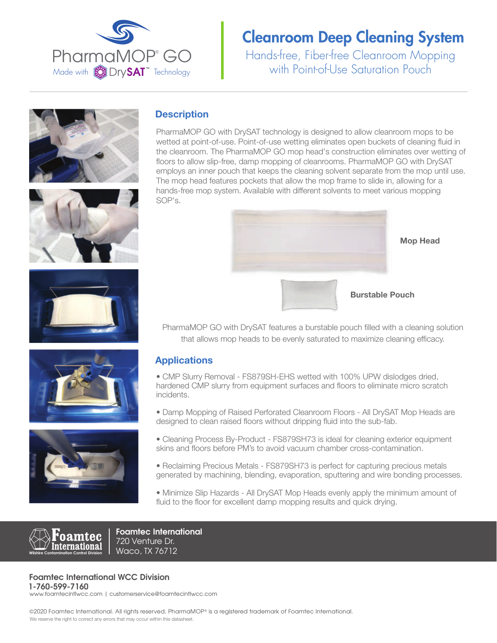

Hands-free, Fiber-free Cleanroom Mopping with Point-of-Use Saturation Pouch











### **Description**

PharmaMOP GO with DrySAT technology is designed to allow cleanroom mops to be wetted at point-of-use. Point-of-use wetting eliminates open buckets of cleaning fluid in the cleanroom. The PharmaMOP GO mop head's construction eliminates over wetting of floors to allow slip-free, damp mopping of cleanrooms. PharmaMOP GO with DrySAT employs an inner pouch that keeps the cleaning solvent separate from the mop until use. The mop head features pockets that allow the mop frame to slide in, allowing for a hands-free mop system. Available with different solvents to meet various mopping SOP's.



Mop Head

PharmaMOP GO with DrySAT features a burstable pouch filled with a cleaning solution that allows mop heads to be evenly saturated to maximize cleaning efficacy.

### Applications

• CMP Slurry Removal - FS879SH-EHS wetted with 100% UPW dislodges dried, hardened CMP slurry from equipment surfaces and floors to eliminate micro scratch incidents.

• Damp Mopping of Raised Perforated Cleanroom Floors - All DrySAT Mop Heads are designed to clean raised floors without dripping fluid into the sub-fab.

- Cleaning Process By-Product FS879SH73 is ideal for cleaning exterior equipment skins and floors before PM's to avoid vacuum chamber cross-contamination.
- Reclaiming Precious Metals FS879SH73 is perfect for capturing precious metals generated by machining, blending, evaporation, sputtering and wire bonding processes.
- Minimize Slip Hazards All DrySAT Mop Heads evenly apply the minimum amount of fluid to the floor for excellent damp mopping results and quick drying.



**Foamtec International** 720 Venture Dr. Waco, TX 76712

#### **Foamtec International WCC Division 1-760-599-7160**

www.foamtecintlwcc.com | customerservice@foamtecintlwcc.com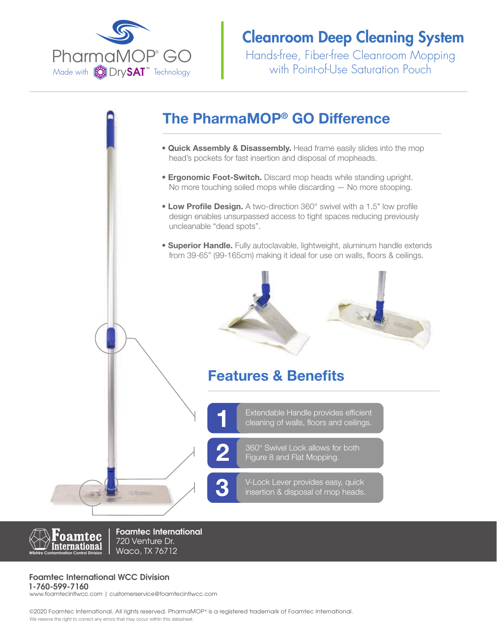

Hands-free, Fiber-free Cleanroom Mopping with Point-of-Use Saturation Pouch

## The PharmaMOP® GO Difference

- **Quick Assembly & Disassembly.** Head frame easily slides into the mop head's pockets for fast insertion and disposal of mopheads.
- **Ergonomic Foot-Switch.** Discard mop heads while standing upright. No more touching soiled mops while discarding — No more stooping.
- Low Profile Design. A two-direction 360° swivel with a 1.5" low profile design enables unsurpassed access to tight spaces reducing previously uncleanable "dead spots".
- **Superior Handle.** Fully autoclavable, lightweight, aluminum handle extends from 39-65" (99-165cm) making it ideal for use on walls, floors & ceilings.



## Features & Benefits

Extendable Handle provides efficient<br>1 cleaning of walls, floors and ceilings.

360° Swivel Lock allows for both<br>Figure 8 and Flat Mopping.

V-Lock Lever provides easy, quick<br>insertion & disposal of mop heads.



**Foamtec International** 720 Venture Dr. Waco, TX 76712

### **Foamtec International WCC Division**

**1-760-599-7160** www.foamtecintlwcc.com | customerservice@foamtecintlwcc.com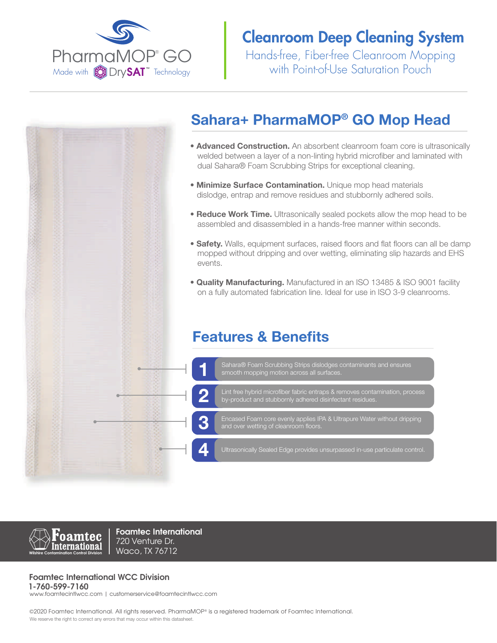

Hands-free, Fiber-free Cleanroom Mopping with Point-of-Use Saturation Pouch

## Sahara+ PharmaMOP® GO Mop Head

- **Advanced Construction.** An absorbent cleanroom foam core is ultrasonically welded between a layer of a non-linting hybrid microfiber and laminated with dual Sahara® Foam Scrubbing Strips for exceptional cleaning.
- **Minimize Surface Contamination.** Unique mop head materials dislodge, entrap and remove residues and stubbornly adhered soils.
- **Reduce Work Time.** Ultrasonically sealed pockets allow the mop head to be assembled and disassembled in a hands-free manner within seconds.
- Safety. Walls, equipment surfaces, raised floors and flat floors can all be damp mopped without dripping and over wetting, eliminating slip hazards and EHS events.
- Quality Manufacturing. Manufactured in an ISO 13485 & ISO 9001 facility on a fully automated fabrication line. Ideal for use in ISO 3-9 cleanrooms.

### Features & Benefits





**Foamtec International** 720 Venture Dr. Waco, TX 76712

#### **Foamtec International WCC Division**

**1-760-599-7160** www.foamtecintlwcc.com | customerservice@foamtecintlwcc.com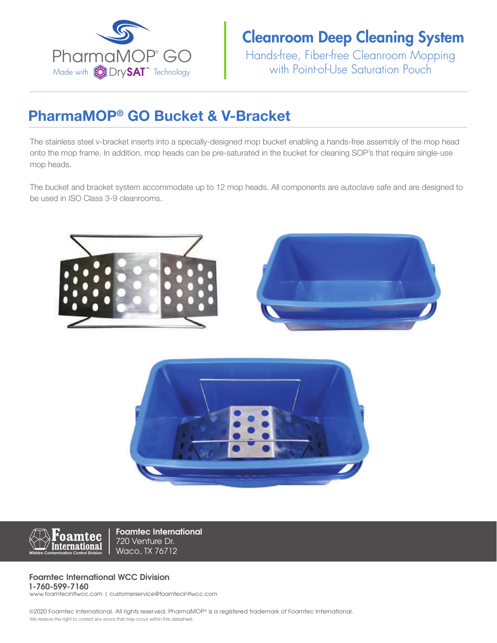

Hands-free, Fiber-free Cleanroom Mopping with Point-of-Use Saturation Pouch

# PharmaMOP® GO Bucket & V-Bracket

The stainless steel v-bracket inserts into a specially-designed mop bucket enabling a hands-free assembly of the mop head onto the mop frame. In addition, mop heads can be pre-saturated in the bucket for cleaning SOP's that require single-use mop heads.

The bucket and bracket system accommodate up to 12 mop heads. All components are autoclave safe and are designed to be used in ISO Class 3-9 cleanrooms.







**Foamtec International** 720 Venture Dr. Waco, TX 76712

#### **Foamtec International WCC Division 1-760-599-7160**

www.foamtecintlwcc.com | customerservice@foamtecintlwcc.com